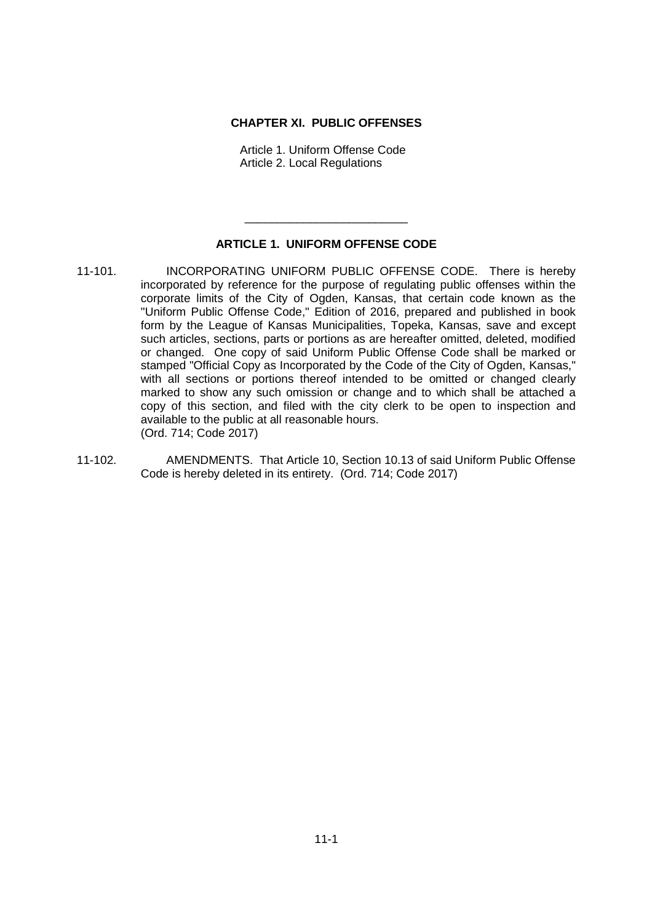## **CHAPTER XI. PUBLIC OFFENSES**

Article 1. Uniform Offense Code Article 2. Local Regulations

## **ARTICLE 1. UNIFORM OFFENSE CODE**

\_\_\_\_\_\_\_\_\_\_\_\_\_\_\_\_\_\_\_\_\_\_\_\_\_

- 11-101. INCORPORATING UNIFORM PUBLIC OFFENSE CODE. There is hereby incorporated by reference for the purpose of regulating public offenses within the corporate limits of the City of Ogden, Kansas, that certain code known as the "Uniform Public Offense Code," Edition of 2016, prepared and published in book form by the League of Kansas Municipalities, Topeka, Kansas, save and except such articles, sections, parts or portions as are hereafter omitted, deleted, modified or changed. One copy of said Uniform Public Offense Code shall be marked or stamped "Official Copy as Incorporated by the Code of the City of Ogden, Kansas," with all sections or portions thereof intended to be omitted or changed clearly marked to show any such omission or change and to which shall be attached a copy of this section, and filed with the city clerk to be open to inspection and available to the public at all reasonable hours. (Ord. 714; Code 2017)
- 11-102. AMENDMENTS. That Article 10, Section 10.13 of said Uniform Public Offense Code is hereby deleted in its entirety. (Ord. 714; Code 2017)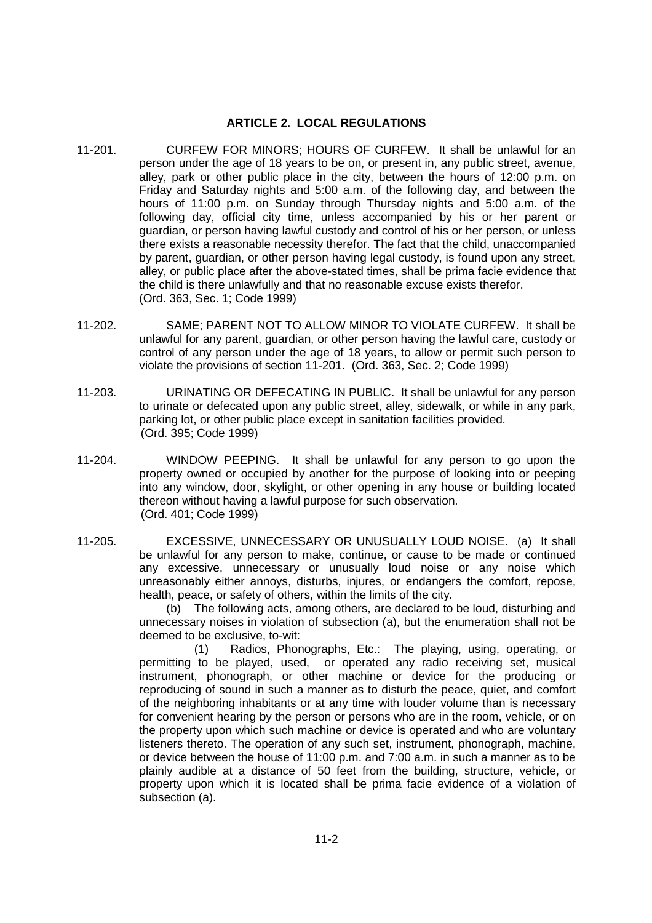## **ARTICLE 2. LOCAL REGULATIONS**

- 11-201. CURFEW FOR MINORS; HOURS OF CURFEW. It shall be unlawful for an person under the age of 18 years to be on, or present in, any public street, avenue, alley, park or other public place in the city, between the hours of 12:00 p.m. on Friday and Saturday nights and 5:00 a.m. of the following day, and between the hours of 11:00 p.m. on Sunday through Thursday nights and 5:00 a.m. of the following day, official city time, unless accompanied by his or her parent or guardian, or person having lawful custody and control of his or her person, or unless there exists a reasonable necessity therefor. The fact that the child, unaccompanied by parent, guardian, or other person having legal custody, is found upon any street, alley, or public place after the above-stated times, shall be prima facie evidence that the child is there unlawfully and that no reasonable excuse exists therefor. (Ord. 363, Sec. 1; Code 1999)
- 11-202. SAME; PARENT NOT TO ALLOW MINOR TO VIOLATE CURFEW. It shall be unlawful for any parent, guardian, or other person having the lawful care, custody or control of any person under the age of 18 years, to allow or permit such person to violate the provisions of section 11-201. (Ord. 363, Sec. 2; Code 1999)
- 11-203. URINATING OR DEFECATING IN PUBLIC. It shall be unlawful for any person to urinate or defecated upon any public street, alley, sidewalk, or while in any park, parking lot, or other public place except in sanitation facilities provided. (Ord. 395; Code 1999)
- 11-204. WINDOW PEEPING. It shall be unlawful for any person to go upon the property owned or occupied by another for the purpose of looking into or peeping into any window, door, skylight, or other opening in any house or building located thereon without having a lawful purpose for such observation. (Ord. 401; Code 1999)
- 11-205. EXCESSIVE, UNNECESSARY OR UNUSUALLY LOUD NOISE. (a) It shall be unlawful for any person to make, continue, or cause to be made or continued any excessive, unnecessary or unusually loud noise or any noise which unreasonably either annoys, disturbs, injures, or endangers the comfort, repose, health, peace, or safety of others, within the limits of the city.

(b) The following acts, among others, are declared to be loud, disturbing and unnecessary noises in violation of subsection (a), but the enumeration shall not be deemed to be exclusive, to-wit:

(1) Radios, Phonographs, Etc.: The playing, using, operating, or permitting to be played, used, or operated any radio receiving set, musical instrument, phonograph, or other machine or device for the producing or reproducing of sound in such a manner as to disturb the peace, quiet, and comfort of the neighboring inhabitants or at any time with louder volume than is necessary for convenient hearing by the person or persons who are in the room, vehicle, or on the property upon which such machine or device is operated and who are voluntary listeners thereto. The operation of any such set, instrument, phonograph, machine, or device between the house of 11:00 p.m. and 7:00 a.m. in such a manner as to be plainly audible at a distance of 50 feet from the building, structure, vehicle, or property upon which it is located shall be prima facie evidence of a violation of subsection (a).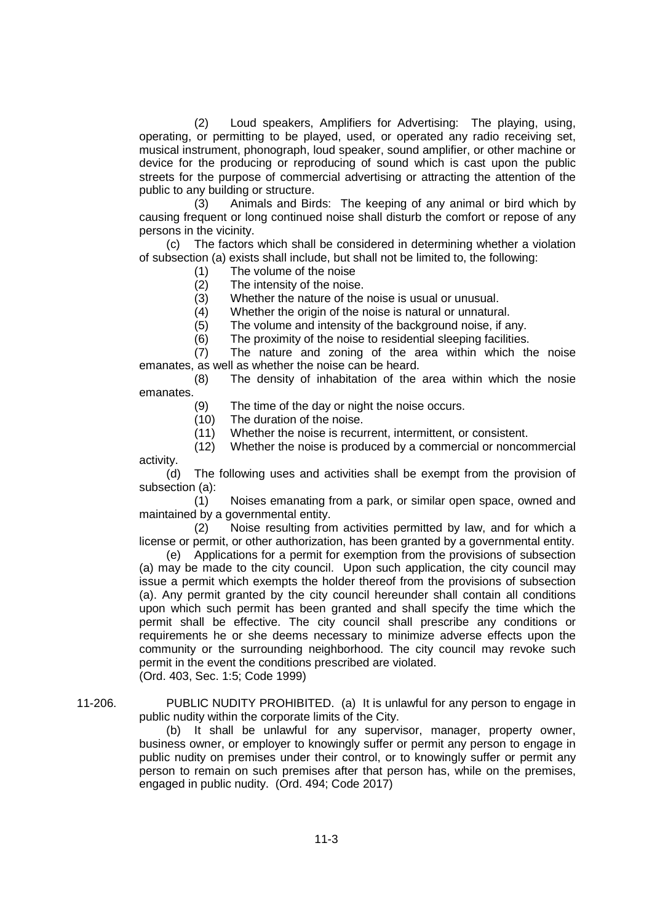(2) Loud speakers, Amplifiers for Advertising: The playing, using, operating, or permitting to be played, used, or operated any radio receiving set, musical instrument, phonograph, loud speaker, sound amplifier, or other machine or device for the producing or reproducing of sound which is cast upon the public streets for the purpose of commercial advertising or attracting the attention of the public to any building or structure.

(3) Animals and Birds: The keeping of any animal or bird which by causing frequent or long continued noise shall disturb the comfort or repose of any persons in the vicinity.

(c) The factors which shall be considered in determining whether a violation of subsection (a) exists shall include, but shall not be limited to, the following:

(1) The volume of the noise

(2) The intensity of the noise.

(3) Whether the nature of the noise is usual or unusual.

(4) Whether the origin of the noise is natural or unnatural.

(5) The volume and intensity of the background noise, if any.

(6) The proximity of the noise to residential sleeping facilities.

(7) The nature and zoning of the area within which the noise emanates, as well as whether the noise can be heard.

(8) The density of inhabitation of the area within which the nosie emanates.

(9) The time of the day or night the noise occurs.

(10) The duration of the noise.

(11) Whether the noise is recurrent, intermittent, or consistent.

(12) Whether the noise is produced by a commercial or noncommercial

activity.

(d) The following uses and activities shall be exempt from the provision of subsection (a):

(1) Noises emanating from a park, or similar open space, owned and maintained by a governmental entity.

(2) Noise resulting from activities permitted by law, and for which a license or permit, or other authorization, has been granted by a governmental entity.

(e) Applications for a permit for exemption from the provisions of subsection (a) may be made to the city council. Upon such application, the city council may issue a permit which exempts the holder thereof from the provisions of subsection (a). Any permit granted by the city council hereunder shall contain all conditions upon which such permit has been granted and shall specify the time which the permit shall be effective. The city council shall prescribe any conditions or requirements he or she deems necessary to minimize adverse effects upon the community or the surrounding neighborhood. The city council may revoke such permit in the event the conditions prescribed are violated. (Ord. 403, Sec. 1:5; Code 1999)

11-206. PUBLIC NUDITY PROHIBITED. (a) It is unlawful for any person to engage in public nudity within the corporate limits of the City.

> (b) It shall be unlawful for any supervisor, manager, property owner, business owner, or employer to knowingly suffer or permit any person to engage in public nudity on premises under their control, or to knowingly suffer or permit any person to remain on such premises after that person has, while on the premises, engaged in public nudity. (Ord. 494; Code 2017)